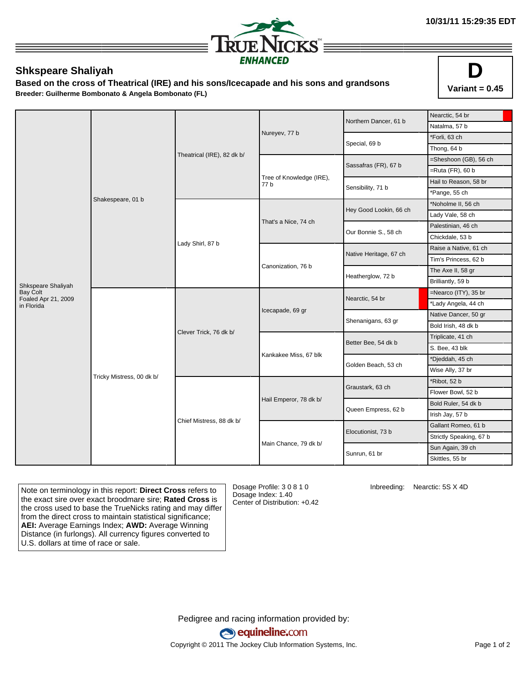

## **Shkspeare Shaliyah**

**Based on the cross of Theatrical (IRE) and his sons/Icecapade and his sons and grandsons Breeder: Guilherme Bombonato & Angela Bombonato (FL)**



|                                   |                           |                            |                                  | Northern Dancer, 61 b  | Nearctic, 54 br                                                                                                                                                                                                                                                                                                                                                       |             |  |
|-----------------------------------|---------------------------|----------------------------|----------------------------------|------------------------|-----------------------------------------------------------------------------------------------------------------------------------------------------------------------------------------------------------------------------------------------------------------------------------------------------------------------------------------------------------------------|-------------|--|
|                                   |                           |                            |                                  |                        | Natalma, 57 b                                                                                                                                                                                                                                                                                                                                                         |             |  |
|                                   |                           |                            | Nureyev, 77 b                    |                        | *Forli, 63 ch                                                                                                                                                                                                                                                                                                                                                         |             |  |
|                                   |                           |                            |                                  |                        | Special, 69 b                                                                                                                                                                                                                                                                                                                                                         | Thong, 64 b |  |
|                                   |                           | Theatrical (IRE), 82 dk b/ |                                  | Sassafras (FR), 67 b   | =Sheshoon (GB), 56 ch                                                                                                                                                                                                                                                                                                                                                 |             |  |
|                                   |                           |                            |                                  |                        | $=$ Ruta (FR), 60 b                                                                                                                                                                                                                                                                                                                                                   |             |  |
|                                   |                           |                            | Tree of Knowledge (IRE),<br>77 b | Sensibility, 71 b      | Hail to Reason, 58 br                                                                                                                                                                                                                                                                                                                                                 |             |  |
|                                   |                           |                            |                                  |                        | *Pange, 55 ch                                                                                                                                                                                                                                                                                                                                                         |             |  |
|                                   | Shakespeare, 01 b         |                            |                                  |                        | *Noholme II, 56 ch                                                                                                                                                                                                                                                                                                                                                    |             |  |
|                                   |                           |                            |                                  | Hey Good Lookin, 66 ch | Lady Vale, 58 ch<br>Palestinian, 46 ch<br>Chickdale, 53 b<br>Raise a Native, 61 ch<br>Tim's Princess, 62 b<br>The Axe II, 58 gr<br>Brilliantly, 59 b<br>=Nearco (ITY), 35 br<br>*Lady Angela, 44 ch<br>Native Dancer, 50 gr<br>Bold Irish, 48 dk b<br>Triplicate, 41 ch<br>S. Bee, 43 blk<br>*Djeddah, 45 ch<br>Wise Ally, 37 br<br>*Ribot, 52 b<br>Flower Bowl, 52 b |             |  |
|                                   |                           | Lady Shirl, 87 b           | That's a Nice, 74 ch             | Our Bonnie S., 58 ch   |                                                                                                                                                                                                                                                                                                                                                                       |             |  |
|                                   |                           |                            |                                  |                        |                                                                                                                                                                                                                                                                                                                                                                       |             |  |
|                                   |                           |                            |                                  |                        |                                                                                                                                                                                                                                                                                                                                                                       |             |  |
|                                   |                           |                            |                                  | Native Heritage, 67 ch |                                                                                                                                                                                                                                                                                                                                                                       |             |  |
|                                   |                           |                            | Canonization, 76 b               | Heatherglow, 72 b      |                                                                                                                                                                                                                                                                                                                                                                       |             |  |
| Shkspeare Shaliyah                |                           |                            |                                  |                        |                                                                                                                                                                                                                                                                                                                                                                       |             |  |
| <b>Bay Colt</b>                   |                           |                            |                                  | Nearctic, 54 br        |                                                                                                                                                                                                                                                                                                                                                                       |             |  |
| Foaled Apr 21, 2009<br>in Florida |                           |                            |                                  |                        | Bold Ruler, 54 dk b<br>Irish Jay, 57 b<br>Gallant Romeo, 61 b<br>Strictly Speaking, 67 b<br>Sun Again, 39 ch<br>Skittles, 55 br                                                                                                                                                                                                                                       |             |  |
|                                   |                           |                            | Icecapade, 69 gr                 | Shenanigans, 63 gr     |                                                                                                                                                                                                                                                                                                                                                                       |             |  |
|                                   |                           | Clever Trick, 76 dk b/     |                                  |                        |                                                                                                                                                                                                                                                                                                                                                                       |             |  |
|                                   |                           |                            | Kankakee Miss, 67 blk            | Better Bee, 54 dk b    |                                                                                                                                                                                                                                                                                                                                                                       |             |  |
|                                   |                           |                            |                                  |                        |                                                                                                                                                                                                                                                                                                                                                                       |             |  |
|                                   |                           |                            |                                  | Golden Beach, 53 ch    |                                                                                                                                                                                                                                                                                                                                                                       |             |  |
|                                   |                           |                            |                                  |                        |                                                                                                                                                                                                                                                                                                                                                                       |             |  |
|                                   | Tricky Mistress, 00 dk b/ |                            |                                  | Graustark, 63 ch       |                                                                                                                                                                                                                                                                                                                                                                       |             |  |
|                                   |                           |                            |                                  |                        |                                                                                                                                                                                                                                                                                                                                                                       |             |  |
|                                   |                           |                            |                                  | Hail Emperor, 78 dk b/ |                                                                                                                                                                                                                                                                                                                                                                       |             |  |
|                                   |                           |                            |                                  | Queen Empress, 62 b    |                                                                                                                                                                                                                                                                                                                                                                       |             |  |
|                                   |                           | Chief Mistress, 88 dk b/   |                                  |                        |                                                                                                                                                                                                                                                                                                                                                                       |             |  |
|                                   |                           |                            |                                  | Elocutionist, 73 b     |                                                                                                                                                                                                                                                                                                                                                                       |             |  |
|                                   |                           |                            | Main Chance, 79 dk b/            | Sunrun, 61 br          |                                                                                                                                                                                                                                                                                                                                                                       |             |  |
|                                   |                           |                            |                                  |                        |                                                                                                                                                                                                                                                                                                                                                                       |             |  |

Note on terminology in this report: **Direct Cross** refers to the exact sire over exact broodmare sire; **Rated Cross** is the cross used to base the TrueNicks rating and may differ from the direct cross to maintain statistical significance; **AEI:** Average Earnings Index; **AWD:** Average Winning Distance (in furlongs). All currency figures converted to U.S. dollars at time of race or sale.

Dosage Profile: 3 0 8 1 0 Dosage Index: 1.40 Center of Distribution: +0.42 Inbreeding: Nearctic: 5S X 4D

Pedigree and racing information provided by: equineline.com Copyright © 2011 The Jockey Club Information Systems, Inc. example 2012 Page 1 of 2